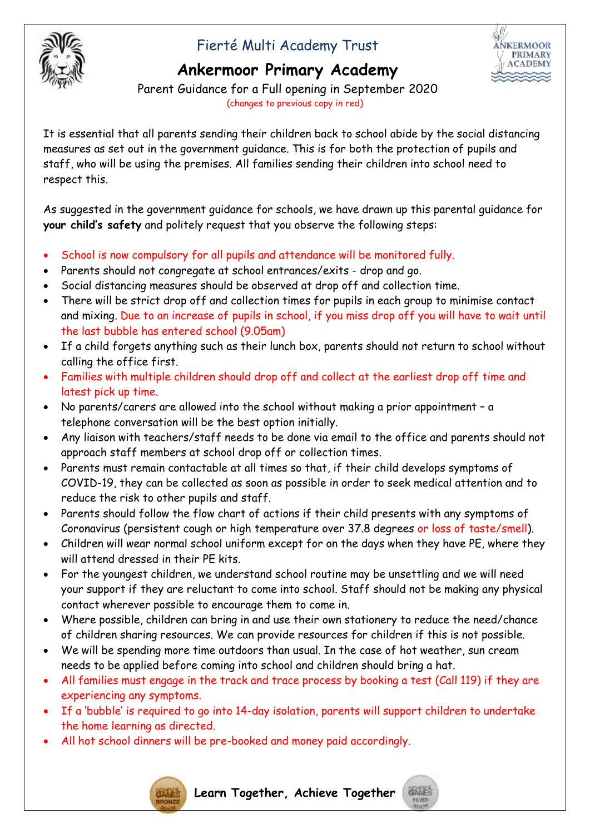

# Fierté Multi Academy Trust



## **Ankermoor Primary Academy**

Parent Guidance for a Full opening in September 2020 (changes to previous copy in red)

It is essential that all parents sending their children back to school abide by the social distancing measures as set out in the government guidance. This is for both the protection of pupils and staff, who will be using the premises. All families sending their children into school need to respect this.

As suggested in the government guidance for schools, we have drawn up this parental guidance for **your child's safety** and politely request that you observe the following steps:

- School is now compulsory for all pupils and attendance will be monitored fully.
- Parents should not congregate at school entrances/exits drop and go.
- Social distancing measures should be observed at drop off and collection time.
- There will be strict drop off and collection times for pupils in each group to minimise contact and mixing. Due to an increase of pupils in school, if you miss drop off you will have to wait until the last bubble has entered school (9.05am)
- If a child forgets anything such as their lunch box, parents should not return to school without calling the office first.
- Families with multiple children should drop off and collect at the earliest drop off time and latest pick up time.
- No parents/carers are allowed into the school without making a prior appointment a telephone conversation will be the best option initially.
- Any liaison with teachers/staff needs to be done via email to the office and parents should not approach staff members at school drop off or collection times.
- Parents must remain contactable at all times so that, if their child develops symptoms of COVID-19, they can be collected as soon as possible in order to seek medical attention and to reduce the risk to other pupils and staff.
- Parents should follow the flow chart of actions if their child presents with any symptoms of Coronavirus (persistent cough or high temperature over 37.8 degrees or loss of taste/smell).
- Children will wear normal school uniform except for on the days when they have PE, where they will attend dressed in their PE kits.
- For the youngest children, we understand school routine may be unsettling and we will need your support if they are reluctant to come into school. Staff should not be making any physical contact wherever possible to encourage them to come in.
- Where possible, children can bring in and use their own stationery to reduce the need/chance of children sharing resources. We can provide resources for children if this is not possible.
- We will be spending more time outdoors than usual. In the case of hot weather, sun cream needs to be applied before coming into school and children should bring a hat.
- All families must engage in the track and trace process by booking a test (Call 119) if they are experiencing any symptoms.
- If a 'bubble' is required to go into 14-day isolation, parents will support children to undertake the home learning as directed.
- All hot school dinners will be pre-booked and money paid accordingly.